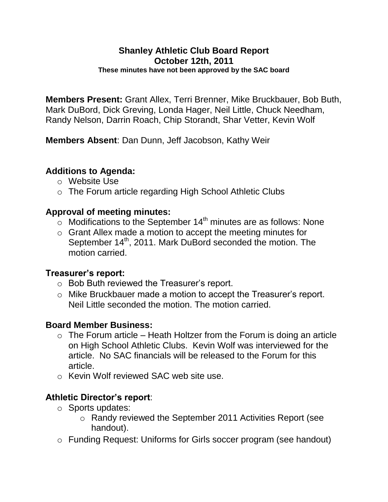#### **Shanley Athletic Club Board Report October 12th, 2011 These minutes have not been approved by the SAC board**

**Members Present:** Grant Allex, Terri Brenner, Mike Bruckbauer, Bob Buth, Mark DuBord, Dick Greving, Londa Hager, Neil Little, Chuck Needham, Randy Nelson, Darrin Roach, Chip Storandt, Shar Vetter, Kevin Wolf

**Members Absent**: Dan Dunn, Jeff Jacobson, Kathy Weir

# **Additions to Agenda:**

- o Website Use
- o The Forum article regarding High School Athletic Clubs

## **Approval of meeting minutes:**

- $\sim$  Modifications to the September 14<sup>th</sup> minutes are as follows: None
- o Grant Allex made a motion to accept the meeting minutes for September 14<sup>th</sup>, 2011. Mark DuBord seconded the motion. The motion carried.

### **Treasurer's report:**

- o Bob Buth reviewed the Treasurer's report.
- o Mike Bruckbauer made a motion to accept the Treasurer's report. Neil Little seconded the motion. The motion carried.

# **Board Member Business:**

- $\circ$  The Forum article Heath Holtzer from the Forum is doing an article on High School Athletic Clubs. Kevin Wolf was interviewed for the article. No SAC financials will be released to the Forum for this article.
- o Kevin Wolf reviewed SAC web site use.

# **Athletic Director's report**:

- o Sports updates:
	- o Randy reviewed the September 2011 Activities Report (see handout).
- o Funding Request: Uniforms for Girls soccer program (see handout)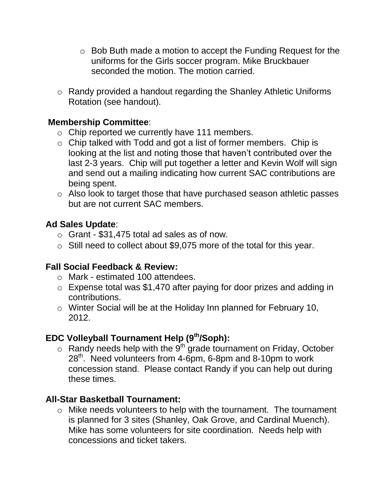- o Bob Buth made a motion to accept the Funding Request for the uniforms for the Girls soccer program. Mike Bruckbauer seconded the motion. The motion carried.
- o Randy provided a handout regarding the Shanley Athletic Uniforms Rotation (see handout).

## **Membership Committee**:

- o Chip reported we currently have 111 members.
- o Chip talked with Todd and got a list of former members. Chip is looking at the list and noting those that haven't contributed over the last 2-3 years. Chip will put together a letter and Kevin Wolf will sign and send out a mailing indicating how current SAC contributions are being spent.
- o Also look to target those that have purchased season athletic passes but are not current SAC members.

## **Ad Sales Update**:

- o Grant \$31,475 total ad sales as of now.
- o Still need to collect about \$9,075 more of the total for this year.

### **Fall Social Feedback & Review:**

- o Mark estimated 100 attendees.
- o Expense total was \$1,470 after paying for door prizes and adding in contributions.
- o Winter Social will be at the Holiday Inn planned for February 10, 2012.

### **EDC Volleyball Tournament Help (9th/Soph):**

 $\circ$  Randy needs help with the 9<sup>th</sup> grade tournament on Friday, October 28<sup>th</sup>. Need volunteers from 4-6pm, 6-8pm and 8-10pm to work concession stand. Please contact Randy if you can help out during these times.

### **All-Star Basketball Tournament:**

o Mike needs volunteers to help with the tournament. The tournament is planned for 3 sites (Shanley, Oak Grove, and Cardinal Muench). Mike has some volunteers for site coordination. Needs help with concessions and ticket takers.